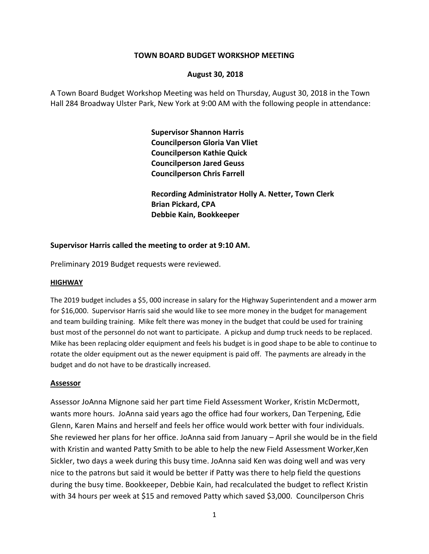### **TOWN BOARD BUDGET WORKSHOP MEETING**

### **August 30, 2018**

A Town Board Budget Workshop Meeting was held on Thursday, August 30, 2018 in the Town Hall 284 Broadway Ulster Park, New York at 9:00 AM with the following people in attendance:

> **Supervisor Shannon Harris Councilperson Gloria Van Vliet Councilperson Kathie Quick Councilperson Jared Geuss Councilperson Chris Farrell**

**Recording Administrator Holly A. Netter, Town Clerk Brian Pickard, CPA Debbie Kain, Bookkeeper**

### **Supervisor Harris called the meeting to order at 9:10 AM.**

Preliminary 2019 Budget requests were reviewed.

### **HIGHWAY**

The 2019 budget includes a \$5, 000 increase in salary for the Highway Superintendent and a mower arm for \$16,000. Supervisor Harris said she would like to see more money in the budget for management and team building training. Mike felt there was money in the budget that could be used for training bust most of the personnel do not want to participate. A pickup and dump truck needs to be replaced. Mike has been replacing older equipment and feels his budget is in good shape to be able to continue to rotate the older equipment out as the newer equipment is paid off. The payments are already in the budget and do not have to be drastically increased.

### **Assessor**

Assessor JoAnna Mignone said her part time Field Assessment Worker, Kristin McDermott, wants more hours. JoAnna said years ago the office had four workers, Dan Terpening, Edie Glenn, Karen Mains and herself and feels her office would work better with four individuals. She reviewed her plans for her office. JoAnna said from January – April she would be in the field with Kristin and wanted Patty Smith to be able to help the new Field Assessment Worker, Ken Sickler, two days a week during this busy time. JoAnna said Ken was doing well and was very nice to the patrons but said it would be better if Patty was there to help field the questions during the busy time. Bookkeeper, Debbie Kain, had recalculated the budget to reflect Kristin with 34 hours per week at \$15 and removed Patty which saved \$3,000. Councilperson Chris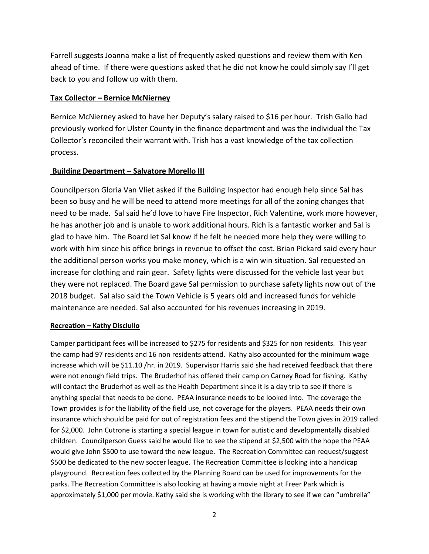Farrell suggests Joanna make a list of frequently asked questions and review them with Ken ahead of time. If there were questions asked that he did not know he could simply say I'll get back to you and follow up with them.

# **Tax Collector – Bernice McNierney**

Bernice McNierney asked to have her Deputy's salary raised to \$16 per hour. Trish Gallo had previously worked for Ulster County in the finance department and was the individual the Tax Collector's reconciled their warrant with. Trish has a vast knowledge of the tax collection process.

# **Building Department – Salvatore Morello III**

Councilperson Gloria Van Vliet asked if the Building Inspector had enough help since Sal has been so busy and he will be need to attend more meetings for all of the zoning changes that need to be made. Sal said he'd love to have Fire Inspector, Rich Valentine, work more however, he has another job and is unable to work additional hours. Rich is a fantastic worker and Sal is glad to have him. The Board let Sal know if he felt he needed more help they were willing to work with him since his office brings in revenue to offset the cost. Brian Pickard said every hour the additional person works you make money, which is a win win situation. Sal requested an increase for clothing and rain gear. Safety lights were discussed for the vehicle last year but they were not replaced. The Board gave Sal permission to purchase safety lights now out of the 2018 budget. Sal also said the Town Vehicle is 5 years old and increased funds for vehicle maintenance are needed. Sal also accounted for his revenues increasing in 2019.

# **Recreation – Kathy Disciullo**

Camper participant fees will be increased to \$275 for residents and \$325 for non residents. This year the camp had 97 residents and 16 non residents attend. Kathy also accounted for the minimum wage increase which will be \$11.10 /hr. in 2019. Supervisor Harris said she had received feedback that there were not enough field trips. The Bruderhof has offered their camp on Carney Road for fishing. Kathy will contact the Bruderhof as well as the Health Department since it is a day trip to see if there is anything special that needs to be done. PEAA insurance needs to be looked into. The coverage the Town provides is for the liability of the field use, not coverage for the players. PEAA needs their own insurance which should be paid for out of registration fees and the stipend the Town gives in 2019 called for \$2,000. John Cutrone is starting a special league in town for autistic and developmentally disabled children. Councilperson Guess said he would like to see the stipend at \$2,500 with the hope the PEAA would give John \$500 to use toward the new league. The Recreation Committee can request/suggest \$500 be dedicated to the new soccer league. The Recreation Committee is looking into a handicap playground. Recreation fees collected by the Planning Board can be used for improvements for the parks. The Recreation Committee is also looking at having a movie night at Freer Park which is approximately \$1,000 per movie. Kathy said she is working with the library to see if we can "umbrella"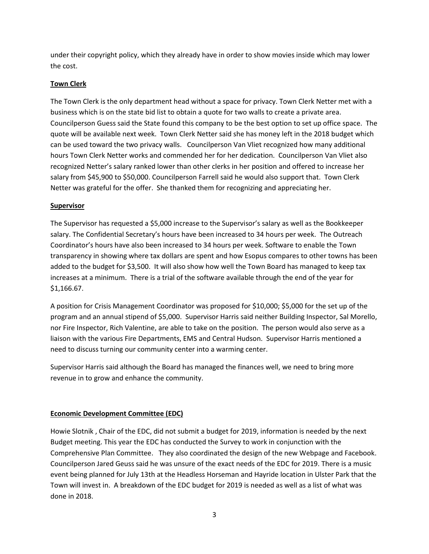under their copyright policy, which they already have in order to show movies inside which may lower the cost.

# **Town Clerk**

The Town Clerk is the only department head without a space for privacy. Town Clerk Netter met with a business which is on the state bid list to obtain a quote for two walls to create a private area. Councilperson Guess said the State found this company to be the best option to set up office space. The quote will be available next week. Town Clerk Netter said she has money left in the 2018 budget which can be used toward the two privacy walls. Councilperson Van Vliet recognized how many additional hours Town Clerk Netter works and commended her for her dedication. Councilperson Van Vliet also recognized Netter's salary ranked lower than other clerks in her position and offered to increase her salary from \$45,900 to \$50,000. Councilperson Farrell said he would also support that. Town Clerk Netter was grateful for the offer. She thanked them for recognizing and appreciating her.

# **Supervisor**

The Supervisor has requested a \$5,000 increase to the Supervisor's salary as well as the Bookkeeper salary. The Confidential Secretary's hours have been increased to 34 hours per week. The Outreach Coordinator's hours have also been increased to 34 hours per week. Software to enable the Town transparency in showing where tax dollars are spent and how Esopus compares to other towns has been added to the budget for \$3,500. It will also show how well the Town Board has managed to keep tax increases at a minimum. There is a trial of the software available through the end of the year for \$1,166.67.

A position for Crisis Management Coordinator was proposed for \$10,000; \$5,000 for the set up of the program and an annual stipend of \$5,000. Supervisor Harris said neither Building Inspector, Sal Morello, nor Fire Inspector, Rich Valentine, are able to take on the position. The person would also serve as a liaison with the various Fire Departments, EMS and Central Hudson. Supervisor Harris mentioned a need to discuss turning our community center into a warming center.

Supervisor Harris said although the Board has managed the finances well, we need to bring more revenue in to grow and enhance the community.

# **Economic Development Committee (EDC)**

Howie Slotnik , Chair of the EDC, did not submit a budget for 2019, information is needed by the next Budget meeting. This year the EDC has conducted the Survey to work in conjunction with the Comprehensive Plan Committee. They also coordinated the design of the new Webpage and Facebook. Councilperson Jared Geuss said he was unsure of the exact needs of the EDC for 2019. There is a music event being planned for July 13th at the Headless Horseman and Hayride location in Ulster Park that the Town will invest in. A breakdown of the EDC budget for 2019 is needed as well as a list of what was done in 2018.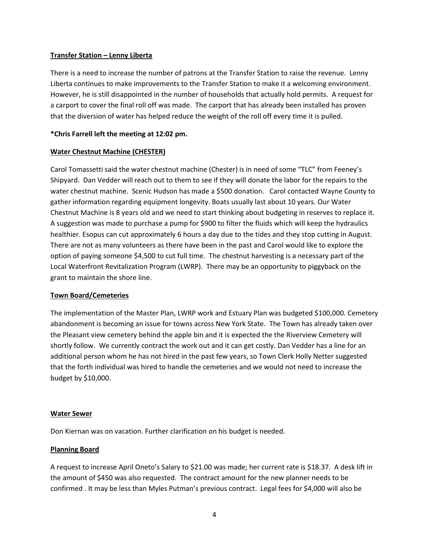#### **Transfer Station – Lenny Liberta**

There is a need to increase the number of patrons at the Transfer Station to raise the revenue. Lenny Liberta continues to make improvements to the Transfer Station to make it a welcoming environment. However, he is still disappointed in the number of households that actually hold permits. A request for a carport to cover the final roll off was made. The carport that has already been installed has proven that the diversion of water has helped reduce the weight of the roll off every time it is pulled.

### **\*Chris Farrell left the meeting at 12:02 pm.**

### **Water Chestnut Machine (CHESTER)**

Carol Tomassetti said the water chestnut machine (Chester) is in need of some "TLC" from Feeney's Shipyard. Dan Vedder will reach out to them to see if they will donate the labor for the repairs to the water chestnut machine. Scenic Hudson has made a \$500 donation. Carol contacted Wayne County to gather information regarding equipment longevity. Boats usually last about 10 years. Our Water Chestnut Machine is 8 years old and we need to start thinking about budgeting in reserves to replace it. A suggestion was made to purchase a pump for \$900 to filter the fluids which will keep the hydraulics healthier. Esopus can cut approximately 6 hours a day due to the tides and they stop cutting in August. There are not as many volunteers as there have been in the past and Carol would like to explore the option of paying someone \$4,500 to cut full time. The chestnut harvesting is a necessary part of the Local Waterfront Revitalization Program (LWRP). There may be an opportunity to piggyback on the grant to maintain the shore line.

#### **Town Board/Cemeteries**

The implementation of the Master Plan, LWRP work and Estuary Plan was budgeted \$100,000. Cemetery abandonment is becoming an issue for towns across New York State. The Town has already taken over the Pleasant view cemetery behind the apple bin and it is expected the the Riverview Cemetery will shortly follow. We currently contract the work out and it can get costly. Dan Vedder has a line for an additional person whom he has not hired in the past few years, so Town Clerk Holly Netter suggested that the forth individual was hired to handle the cemeteries and we would not need to increase the budget by \$10,000.

#### **Water Sewer**

Don Kiernan was on vacation. Further clarification on his budget is needed.

### **Planning Board**

A request to increase April Oneto's Salary to \$21.00 was made; her current rate is \$18.37. A desk lift in the amount of \$450 was also requested. The contract amount for the new planner needs to be confirmed . It may be less than Myles Putman's previous contract. Legal fees for \$4,000 will also be